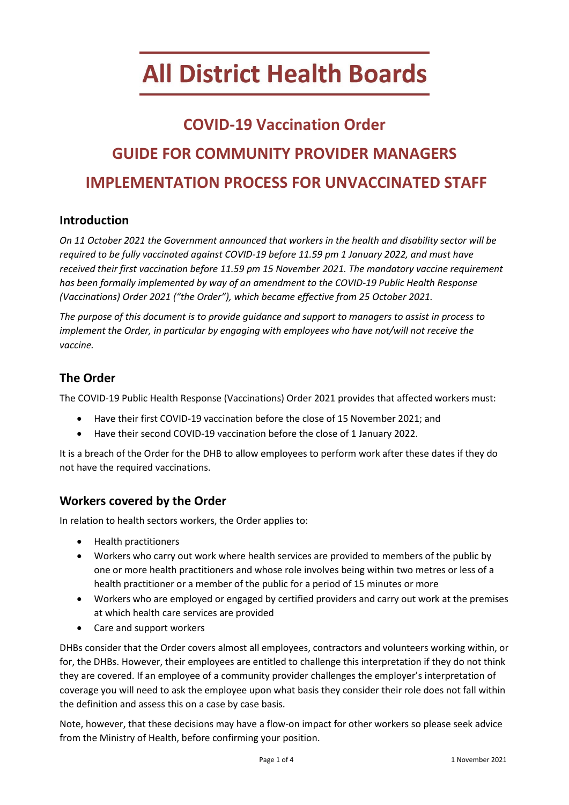# **All District Health Boards**

# **COVID-19 Vaccination Order GUIDE FOR COMMUNITY PROVIDER MANAGERS IMPLEMENTATION PROCESS FOR UNVACCINATED STAFF**

## **Introduction**

*On 11 October 2021 the Government announced that workers in the health and disability sector will be required to be fully vaccinated against COVID-19 before 11.59 pm 1 January 2022, and must have received their first vaccination before 11.59 pm 15 November 2021. The mandatory vaccine requirement has been formally implemented by way of an amendment to the COVID-19 Public Health Response (Vaccinations) Order 2021 ("the Order"), which became effective from 25 October 2021.* 

*The purpose of this document is to provide guidance and support to managers to assist in process to implement the Order, in particular by engaging with employees who have not/will not receive the vaccine.* 

# **The Order**

The COVID-19 Public Health Response (Vaccinations) Order 2021 provides that affected workers must:

- Have their first COVID-19 vaccination before the close of 15 November 2021; and
- Have their second COVID-19 vaccination before the close of 1 January 2022.

It is a breach of the Order for the DHB to allow employees to perform work after these dates if they do not have the required vaccinations.

## **Workers covered by the Order**

In relation to health sectors workers, the Order applies to:

- Health practitioners
- Workers who carry out work where health services are provided to members of the public by one or more health practitioners and whose role involves being within two metres or less of a health practitioner or a member of the public for a period of 15 minutes or more
- Workers who are employed or engaged by certified providers and carry out work at the premises at which health care services are provided
- Care and support workers

DHBs consider that the Order covers almost all employees, contractors and volunteers working within, or for, the DHBs. However, their employees are entitled to challenge this interpretation if they do not think they are covered. If an employee of a community provider challenges the employer's interpretation of coverage you will need to ask the employee upon what basis they consider their role does not fall within the definition and assess this on a case by case basis.

Note, however, that these decisions may have a flow-on impact for other workers so please seek advice from the Ministry of Health, before confirming your position.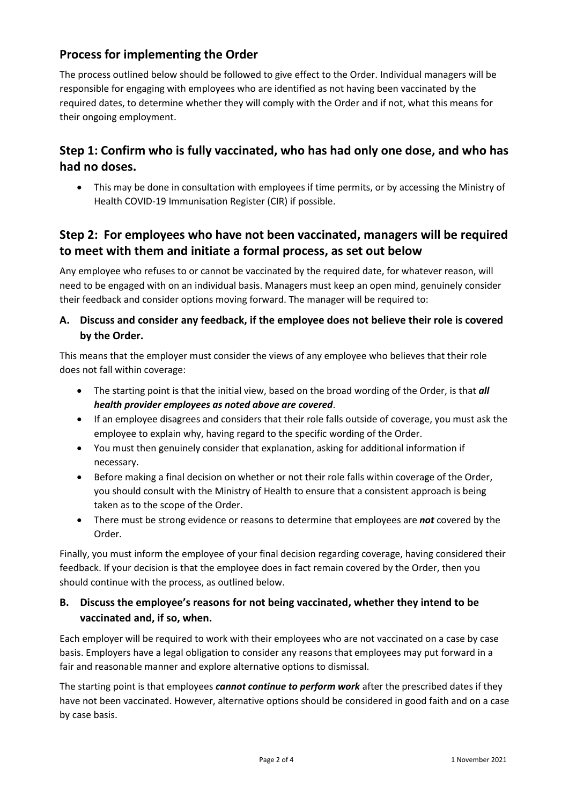# **Process for implementing the Order**

The process outlined below should be followed to give effect to the Order. Individual managers will be responsible for engaging with employees who are identified as not having been vaccinated by the required dates, to determine whether they will comply with the Order and if not, what this means for their ongoing employment.

# **Step 1: Confirm who is fully vaccinated, who has had only one dose, and who has had no doses.**

• This may be done in consultation with employees if time permits, or by accessing the Ministry of Health COVID-19 Immunisation Register (CIR) if possible.

# **Step 2: For employees who have not been vaccinated, managers will be required to meet with them and initiate a formal process, as set out below**

Any employee who refuses to or cannot be vaccinated by the required date, for whatever reason, will need to be engaged with on an individual basis. Managers must keep an open mind, genuinely consider their feedback and consider options moving forward. The manager will be required to:

#### **A. Discuss and consider any feedback, if the employee does not believe their role is covered by the Order.**

This means that the employer must consider the views of any employee who believes that their role does not fall within coverage:

- The starting point is that the initial view, based on the broad wording of the Order, is that *all health provider employees as noted above are covered*.
- If an employee disagrees and considers that their role falls outside of coverage, you must ask the employee to explain why, having regard to the specific wording of the Order.
- You must then genuinely consider that explanation, asking for additional information if necessary.
- Before making a final decision on whether or not their role falls within coverage of the Order, you should consult with the Ministry of Health to ensure that a consistent approach is being taken as to the scope of the Order.
- There must be strong evidence or reasons to determine that employees are *not* covered by the Order.

Finally, you must inform the employee of your final decision regarding coverage, having considered their feedback. If your decision is that the employee does in fact remain covered by the Order, then you should continue with the process, as outlined below.

#### **B. Discuss the employee's reasons for not being vaccinated, whether they intend to be vaccinated and, if so, when.**

Each employer will be required to work with their employees who are not vaccinated on a case by case basis. Employers have a legal obligation to consider any reasons that employees may put forward in a fair and reasonable manner and explore alternative options to dismissal.

The starting point is that employees *cannot continue to perform work* after the prescribed dates if they have not been vaccinated. However, alternative options should be considered in good faith and on a case by case basis.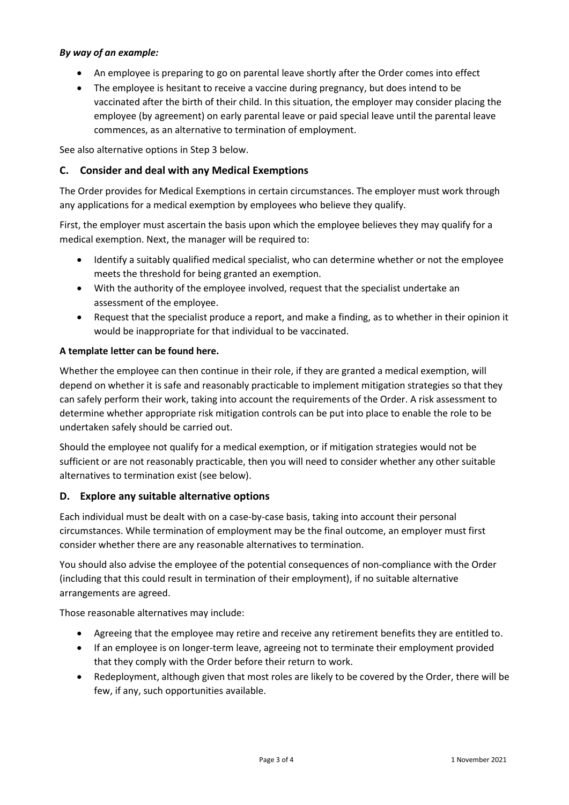#### *By way of an example:*

- An employee is preparing to go on parental leave shortly after the Order comes into effect
- The employee is hesitant to receive a vaccine during pregnancy, but does intend to be vaccinated after the birth of their child. In this situation, the employer may consider placing the employee (by agreement) on early parental leave or paid special leave until the parental leave commences, as an alternative to termination of employment.

See also alternative options in Step 3 below.

#### **C. Consider and deal with any Medical Exemptions**

The Order provides for Medical Exemptions in certain circumstances. The employer must work through any applications for a medical exemption by employees who believe they qualify.

First, the employer must ascertain the basis upon which the employee believes they may qualify for a medical exemption. Next, the manager will be required to:

- Identify a suitably qualified medical specialist, who can determine whether or not the employee meets the threshold for being granted an exemption.
- With the authority of the employee involved, request that the specialist undertake an assessment of the employee.
- Request that the specialist produce a report, and make a finding, as to whether in their opinion it would be inappropriate for that individual to be vaccinated.

#### **A template letter can be found here.**

Whether the employee can then continue in their role, if they are granted a medical exemption, will depend on whether it is safe and reasonably practicable to implement mitigation strategies so that they can safely perform their work, taking into account the requirements of the Order. A risk assessment to determine whether appropriate risk mitigation controls can be put into place to enable the role to be undertaken safely should be carried out.

Should the employee not qualify for a medical exemption, or if mitigation strategies would not be sufficient or are not reasonably practicable, then you will need to consider whether any other suitable alternatives to termination exist (see below).

#### **D. Explore any suitable alternative options**

Each individual must be dealt with on a case-by-case basis, taking into account their personal circumstances. While termination of employment may be the final outcome, an employer must first consider whether there are any reasonable alternatives to termination.

You should also advise the employee of the potential consequences of non-compliance with the Order (including that this could result in termination of their employment), if no suitable alternative arrangements are agreed.

Those reasonable alternatives may include:

- Agreeing that the employee may retire and receive any retirement benefits they are entitled to.
- If an employee is on longer-term leave, agreeing not to terminate their employment provided that they comply with the Order before their return to work.
- Redeployment, although given that most roles are likely to be covered by the Order, there will be few, if any, such opportunities available.